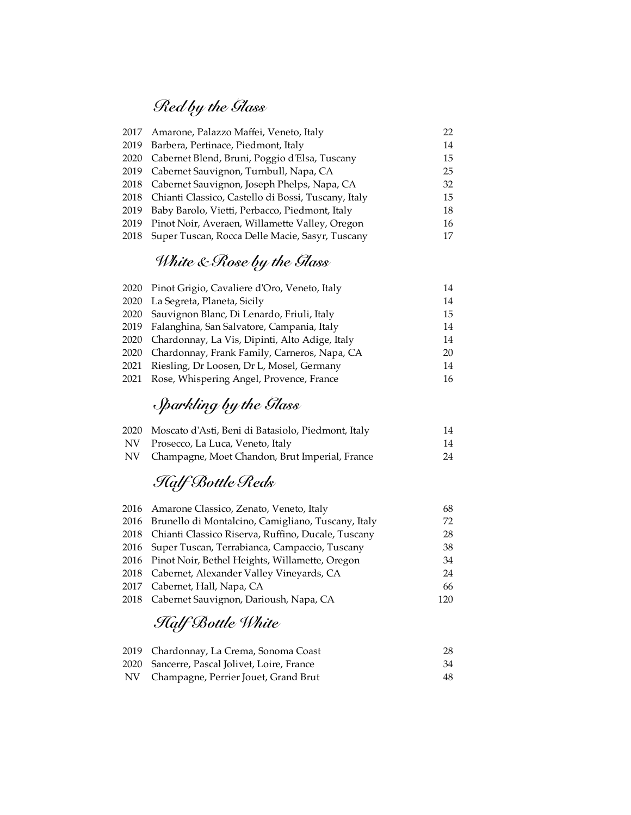## *Red by the Glass*

| 22                                                                                                                                                                                                                                                                                                                                                                                                                                                                                 |
|------------------------------------------------------------------------------------------------------------------------------------------------------------------------------------------------------------------------------------------------------------------------------------------------------------------------------------------------------------------------------------------------------------------------------------------------------------------------------------|
| 14                                                                                                                                                                                                                                                                                                                                                                                                                                                                                 |
| 15                                                                                                                                                                                                                                                                                                                                                                                                                                                                                 |
| 25                                                                                                                                                                                                                                                                                                                                                                                                                                                                                 |
| 32                                                                                                                                                                                                                                                                                                                                                                                                                                                                                 |
| 15                                                                                                                                                                                                                                                                                                                                                                                                                                                                                 |
| 18                                                                                                                                                                                                                                                                                                                                                                                                                                                                                 |
| 16                                                                                                                                                                                                                                                                                                                                                                                                                                                                                 |
| 17                                                                                                                                                                                                                                                                                                                                                                                                                                                                                 |
| 2017 Amarone, Palazzo Maffei, Veneto, Italy<br>2019 Barbera, Pertinace, Piedmont, Italy<br>2020 Cabernet Blend, Bruni, Poggio d'Elsa, Tuscany<br>2019 Cabernet Sauvignon, Turnbull, Napa, CA<br>2018 Cabernet Sauvignon, Joseph Phelps, Napa, CA<br>2018 Chianti Classico, Castello di Bossi, Tuscany, Italy<br>2019 Baby Barolo, Vietti, Perbacco, Piedmont, Italy<br>2019 Pinot Noir, Averaen, Willamette Valley, Oregon<br>2018 Super Tuscan, Rocca Delle Macie, Sasyr, Tuscany |

# *White & Rose by the Glass*

|      | 2020 Pinot Grigio, Cavaliere d'Oro, Veneto, Italy | 14 |
|------|---------------------------------------------------|----|
|      | 2020 La Segreta, Planeta, Sicily                  | 14 |
|      | 2020 Sauvignon Blanc, Di Lenardo, Friuli, Italy   | 15 |
|      | 2019 Falanghina, San Salvatore, Campania, Italy   | 14 |
| 2020 | Chardonnay, La Vis, Dipinti, Alto Adige, Italy    | 14 |
| 2020 | Chardonnay, Frank Family, Carneros, Napa, CA      | 20 |
| 2021 | Riesling, Dr Loosen, Dr L, Mosel, Germany         | 14 |
| 2021 | Rose, Whispering Angel, Provence, France          | 16 |
|      |                                                   |    |

# *Sparkling by the Glass*

| 2020 Moscato d'Asti, Beni di Batasiolo, Piedmont, Italy | 14 |
|---------------------------------------------------------|----|
| NV Prosecco, La Luca, Veneto, Italy                     | 14 |
| NV Champagne, Moet Chandon, Brut Imperial, France       | 24 |

# *Half Bottle Reds*

| 2016 Amarone Classico, Zenato, Veneto, Italy            | 68  |
|---------------------------------------------------------|-----|
| 2016 Brunello di Montalcino, Camigliano, Tuscany, Italy | 72  |
| 2018 Chianti Classico Riserva, Ruffino, Ducale, Tuscany | 28  |
| 2016 Super Tuscan, Terrabianca, Campaccio, Tuscany      | 38  |
| 2016 Pinot Noir, Bethel Heights, Willamette, Oregon     | 34  |
| 2018 Cabernet, Alexander Valley Vineyards, CA           | 24  |
| 2017 Cabernet, Hall, Napa, CA                           | 66  |
| 2018 Cabernet Sauvignon, Darioush, Napa, CA             | 120 |
|                                                         |     |

## *Half Bottle White*

| 2019 Chardonnay, La Crema, Sonoma Coast      | 28 |
|----------------------------------------------|----|
| 2020 Sancerre, Pascal Jolivet, Loire, France | 34 |
| NV Champagne, Perrier Jouet, Grand Brut      | 48 |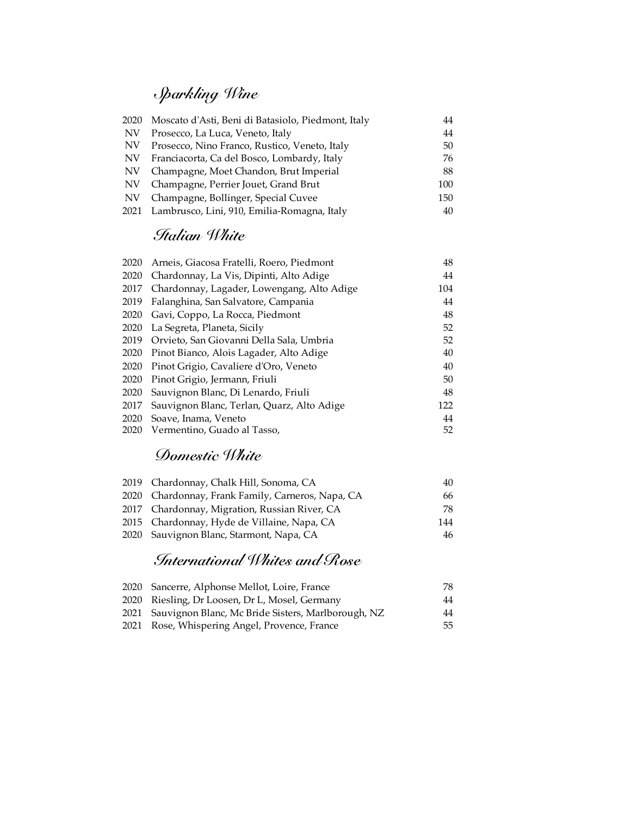# *Sparkling Wine*

| 2020 | Moscato d'Asti, Beni di Batasiolo, Piedmont, Italy | 44  |
|------|----------------------------------------------------|-----|
| NV   | Prosecco, La Luca, Veneto, Italy                   | 44  |
| NV   | Prosecco, Nino Franco, Rustico, Veneto, Italy      | 50  |
| NV.  | Franciacorta, Ca del Bosco, Lombardy, Italy        | 76  |
| NV   | Champagne, Moet Chandon, Brut Imperial             | 88  |
| NV   | Champagne, Perrier Jouet, Grand Brut               | 100 |
| NV   | Champagne, Bollinger, Special Cuvee                | 150 |
| 2021 | Lambrusco, Lini, 910, Emilia-Romagna, Italy        | 40  |

#### *Italian White*

| 2020 | Arneis, Giacosa Fratelli, Roero, Piedmont  | 48  |
|------|--------------------------------------------|-----|
| 2020 | Chardonnay, La Vis, Dipinti, Alto Adige    | 44  |
| 2017 | Chardonnay, Lagader, Lowengang, Alto Adige | 104 |
| 2019 | Falanghina, San Salvatore, Campania        | 44  |
| 2020 | Gavi, Coppo, La Rocca, Piedmont            | 48  |
| 2020 | La Segreta, Planeta, Sicily                | 52  |
| 2019 | Orvieto, San Giovanni Della Sala, Umbria   | 52  |
| 2020 | Pinot Bianco, Alois Lagader, Alto Adige    | 40  |
| 2020 | Pinot Grigio, Cavaliere d'Oro, Veneto      | 40  |
| 2020 | Pinot Grigio, Jermann, Friuli              | 50  |
| 2020 | Sauvignon Blanc, Di Lenardo, Friuli        | 48  |
| 2017 | Sauvignon Blanc, Terlan, Quarz, Alto Adige | 122 |
| 2020 | Soave, Inama, Veneto                       | 44  |
| 2020 | Vermentino, Guado al Tasso,                | 52  |

#### *Domestic White*

| 2019 Chardonnay, Chalk Hill, Sonoma, CA           | 40  |
|---------------------------------------------------|-----|
| 2020 Chardonnay, Frank Family, Carneros, Napa, CA | 66. |
| 2017 Chardonnay, Migration, Russian River, CA     | 78. |
| 2015 Chardonnay, Hyde de Villaine, Napa, CA       | 144 |
| 2020 Sauvignon Blanc, Starmont, Napa, CA          | 46  |

#### *International Whites and Rose*

| 2020 Sancerre, Alphonse Mellot, Loire, France           | 78 |
|---------------------------------------------------------|----|
| 2020 Riesling, Dr Loosen, Dr L, Mosel, Germany          | 44 |
| 2021 Sauvignon Blanc, Mc Bride Sisters, Marlborough, NZ | 44 |
| 2021 Rose, Whispering Angel, Provence, France           | 55 |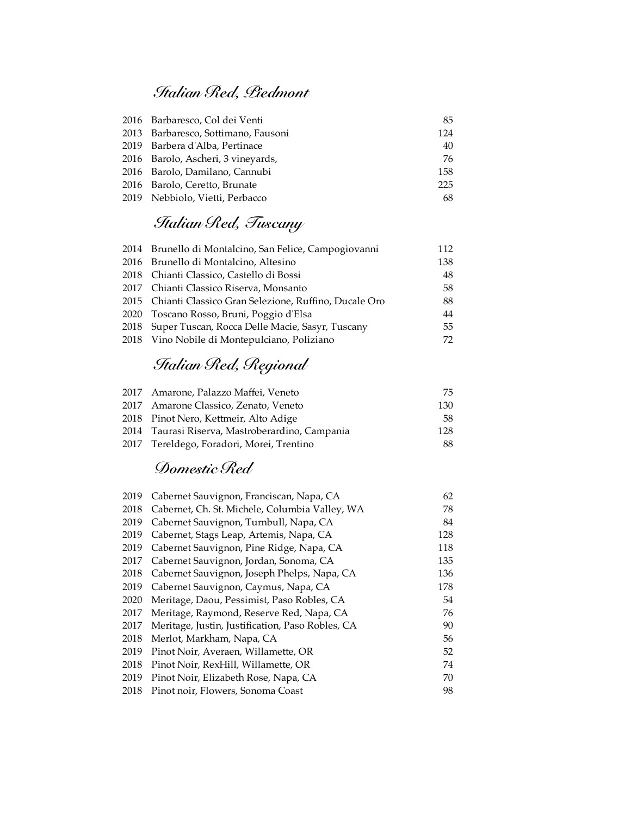#### *Italian Red, Piedmont*

| 2016 Barbaresco, Col dei Venti      | 85  |
|-------------------------------------|-----|
| 2013 Barbaresco, Sottimano, Fausoni | 124 |
| 2019 Barbera d'Alba, Pertinace      | 40  |
| 2016 Barolo, Ascheri, 3 vineyards,  | 76  |
| 2016 Barolo, Damilano, Cannubi      | 158 |
| 2016 Barolo, Ceretto, Brunate       | 225 |
| 2019 Nebbiolo, Vietti, Perbacco     | 68  |

### *Italian Red, Tuscany*

| 2014 Brunello di Montalcino, San Felice, Campogiovanni    | 112 |
|-----------------------------------------------------------|-----|
| 2016 Brunello di Montalcino, Altesino                     | 138 |
| 2018 Chianti Classico, Castello di Bossi                  | 48  |
| 2017 Chianti Classico Riserva, Monsanto                   | 58  |
| 2015 Chianti Classico Gran Selezione, Ruffino, Ducale Oro | 88  |
| 2020 Toscano Rosso, Bruni, Poggio d'Elsa                  | 44  |
| 2018 Super Tuscan, Rocca Delle Macie, Sasyr, Tuscany      | 55  |
| 2018 Vino Nobile di Montepulciano, Poliziano              | 72  |

## *Italian Red, Regional*

| 2017 Amarone, Palazzo Maffei, Veneto            | 75.  |
|-------------------------------------------------|------|
| 2017 Amarone Classico, Zenato, Veneto           | 130  |
| 2018 Pinot Nero, Kettmeir, Alto Adige           | 58   |
| 2014 Taurasi Riserva, Mastroberardino, Campania | 128. |
| 2017 Tereldego, Foradori, Morei, Trentino       | 88.  |

### *Domestic Red*

| 2019 | Cabernet Sauvignon, Franciscan, Napa, CA         | 62  |
|------|--------------------------------------------------|-----|
| 2018 | Cabernet, Ch. St. Michele, Columbia Valley, WA   | 78  |
| 2019 | Cabernet Sauvignon, Turnbull, Napa, CA           | 84  |
| 2019 | Cabernet, Stags Leap, Artemis, Napa, CA          | 128 |
| 2019 | Cabernet Sauvignon, Pine Ridge, Napa, CA         | 118 |
| 2017 | Cabernet Sauvignon, Jordan, Sonoma, CA           | 135 |
| 2018 | Cabernet Sauvignon, Joseph Phelps, Napa, CA      | 136 |
| 2019 | Cabernet Sauvignon, Caymus, Napa, CA             | 178 |
| 2020 | Meritage, Daou, Pessimist, Paso Robles, CA       | 54  |
| 2017 | Meritage, Raymond, Reserve Red, Napa, CA         | 76  |
| 2017 | Meritage, Justin, Justification, Paso Robles, CA | 90  |
| 2018 | Merlot, Markham, Napa, CA                        | 56  |
| 2019 | Pinot Noir, Averaen, Willamette, OR              | 52  |
| 2018 | Pinot Noir, RexHill, Willamette, OR              | 74  |
| 2019 | Pinot Noir, Elizabeth Rose, Napa, CA             | 70  |
| 2018 | Pinot noir, Flowers, Sonoma Coast                | 98  |
|      |                                                  |     |